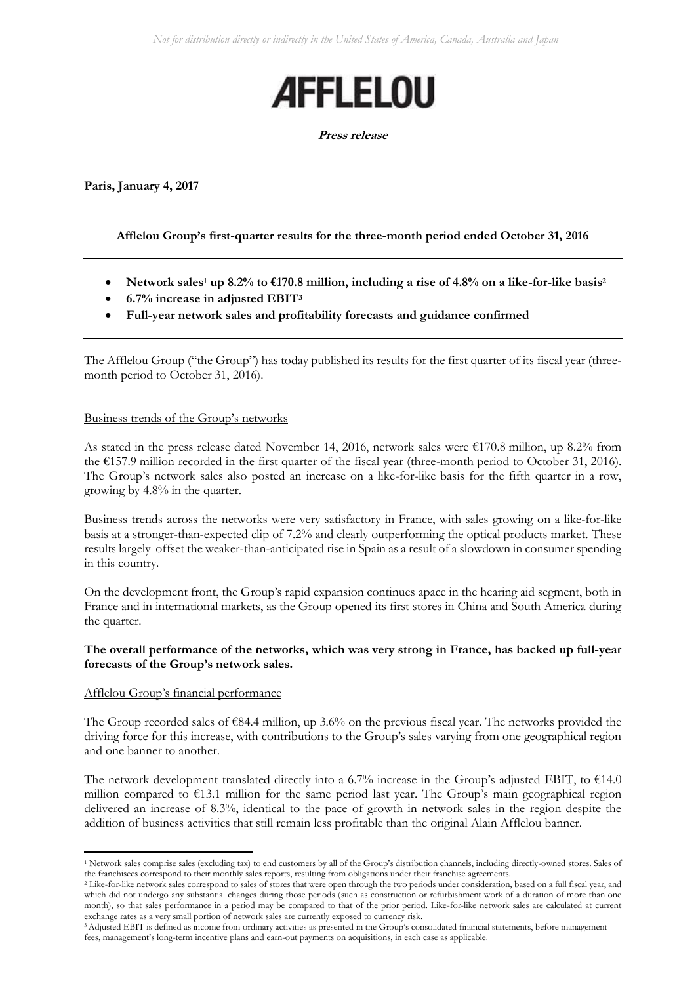

#### **Press release**

**Paris, January 4, 2017**

# **Afflelou Group's first-quarter results for the three-month period ended October 31, 2016**

- **Network sales<sup>1</sup> up 8.2% to €170.8 million, including a rise of 4.8% on a like-for-like basis<sup>2</sup>**
- **6.7% increase in adjusted EBIT<sup>3</sup>**
- **Full-year network sales and profitability forecasts and guidance confirmed**

The Afflelou Group ("the Group") has today published its results for the first quarter of its fiscal year (threemonth period to October 31, 2016).

### Business trends of the Group's networks

As stated in the press release dated November 14, 2016, network sales were  $\epsilon$ 170.8 million, up 8.2% from the €157.9 million recorded in the first quarter of the fiscal year (three-month period to October 31, 2016). The Group's network sales also posted an increase on a like-for-like basis for the fifth quarter in a row, growing by 4.8% in the quarter.

Business trends across the networks were very satisfactory in France, with sales growing on a like-for-like basis at a stronger-than-expected clip of 7.2% and clearly outperforming the optical products market. These results largely offset the weaker-than-anticipated rise in Spain as a result of a slowdown in consumer spending in this country.

On the development front, the Group's rapid expansion continues apace in the hearing aid segment, both in France and in international markets, as the Group opened its first stores in China and South America during the quarter.

## **The overall performance of the networks, which was very strong in France, has backed up full-year forecasts of the Group's network sales.**

### Afflelou Group's financial performance

**.** 

The Group recorded sales of €84.4 million, up 3.6% on the previous fiscal year. The networks provided the driving force for this increase, with contributions to the Group's sales varying from one geographical region and one banner to another.

The network development translated directly into a 6.7% increase in the Group's adjusted EBIT, to  $\epsilon$ 14.0 million compared to €13.1 million for the same period last year. The Group's main geographical region delivered an increase of 8.3%, identical to the pace of growth in network sales in the region despite the addition of business activities that still remain less profitable than the original Alain Afflelou banner.

<sup>&</sup>lt;sup>1</sup> Network sales comprise sales (excluding tax) to end customers by all of the Group's distribution channels, including directly-owned stores. Sales of the franchisees correspond to their monthly sales reports, resulting from obligations under their franchise agreements.

<sup>&</sup>lt;sup>2</sup> Like-for-like network sales correspond to sales of stores that were open through the two periods under consideration, based on a full fiscal year, and which did not undergo any substantial changes during those periods (such as construction or refurbishment work of a duration of more than one month), so that sales performance in a period may be compared to that of the prior period. Like-for-like network sales are calculated at current exchange rates as a very small portion of network sales are currently exposed to currency risk.

<sup>&</sup>lt;sup>3</sup> Adjusted EBIT is defined as income from ordinary activities as presented in the Group's consolidated financial statements, before management fees, management's long-term incentive plans and earn-out payments on acquisitions, in each case as applicable.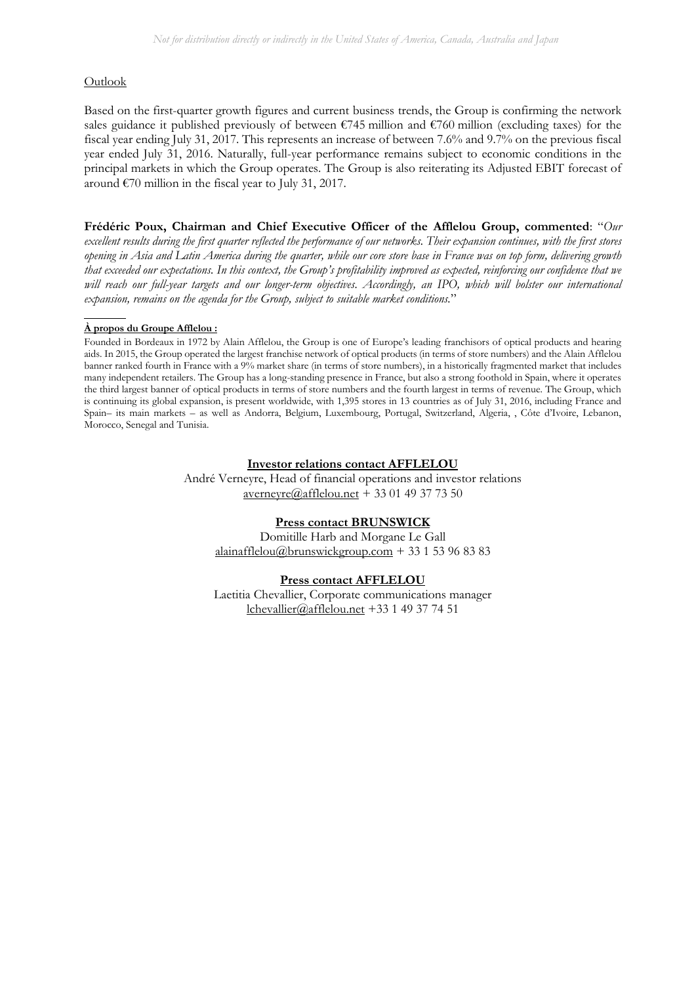### Outlook

Based on the first-quarter growth figures and current business trends, the Group is confirming the network sales guidance it published previously of between  $\epsilon$ 745 million and  $\epsilon$ 760 million (excluding taxes) for the fiscal year ending July 31, 2017. This represents an increase of between 7.6% and 9.7% on the previous fiscal year ended July 31, 2016. Naturally, full-year performance remains subject to economic conditions in the principal markets in which the Group operates. The Group is also reiterating its Adjusted EBIT forecast of around  $\epsilon$ 70 million in the fiscal year to July 31, 2017.

**Frédéric Poux, Chairman and Chief Executive Officer of the Afflelou Group, commented**: "*Our excellent results during the first quarter reflected the performance of our networks. Their expansion continues, with the first stores opening in Asia and Latin America during the quarter, while our core store base in France was on top form, delivering growth that exceeded our expectations. In this context, the Group's profitability improved as expected, reinforcing our confidence that we will reach our full-year targets and our longer-term objectives. Accordingly, an IPO, which will bolster our international expansion, remains on the agenda for the Group, subject to suitable market conditions.*"

#### **À propos du Groupe Afflelou :**

Founded in Bordeaux in 1972 by Alain Afflelou, the Group is one of Europe's leading franchisors of optical products and hearing aids. In 2015, the Group operated the largest franchise network of optical products (in terms of store numbers) and the Alain Afflelou banner ranked fourth in France with a 9% market share (in terms of store numbers), in a historically fragmented market that includes many independent retailers. The Group has a long-standing presence in France, but also a strong foothold in Spain, where it operates the third largest banner of optical products in terms of store numbers and the fourth largest in terms of revenue. The Group, which is continuing its global expansion, is present worldwide, with 1,395 stores in 13 countries as of July 31, 2016, including France and Spain– its main markets – as well as Andorra, Belgium, Luxembourg, Portugal, Switzerland, Algeria, , Côte d'Ivoire, Lebanon, Morocco, Senegal and Tunisia.

#### **Investor relations contact AFFLELOU**

André Verneyre, Head of financial operations and investor relations [averneyre@afflelou.net](mailto:averneyre@afflelou.net) + 33 01 49 37 73 50

#### **Press contact BRUNSWICK**

Domitille Harb and Morgane Le Gall [alainafflelou@brunswickgroup.com](mailto:alainafflelou@brunswickgroup.com) + 33 1 53 96 83 83

#### **Press contact AFFLELOU**

Laetitia Chevallier, Corporate communications manager [lchevallier@afflelou.net](mailto:lchevallier@afflelou.net) +33 1 49 37 74 51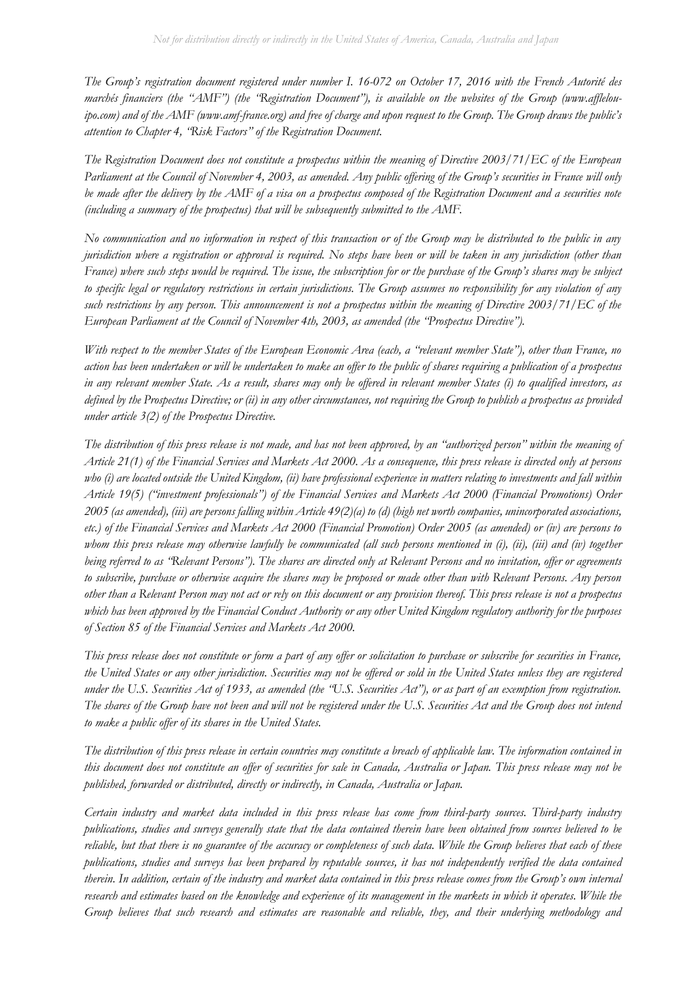*The Group's registration document registered under number I. 16-072 on October 17, 2016 with the French Autorité des marchés financiers (the "AMF") (the "Registration Document"), is available on the websites of the Group (www.afflelouipo.com) and of the AMF (www.amf-france.org) and free of charge and upon request to the Group. The Group draws the public's attention to Chapter 4, "Risk Factors" of the Registration Document.*

*The Registration Document does not constitute a prospectus within the meaning of Directive 2003/71/EC of the European Parliament at the Council of November 4, 2003, as amended. Any public offering of the Group's securities in France will only be made after the delivery by the AMF of a visa on a prospectus composed of the Registration Document and a securities note (including a summary of the prospectus) that will be subsequently submitted to the AMF.*

*No communication and no information in respect of this transaction or of the Group may be distributed to the public in any jurisdiction where a registration or approval is required. No steps have been or will be taken in any jurisdiction (other than France) where such steps would be required. The issue, the subscription for or the purchase of the Group's shares may be subject to specific legal or regulatory restrictions in certain jurisdictions. The Group assumes no responsibility for any violation of any such restrictions by any person. This announcement is not a prospectus within the meaning of Directive 2003/71/EC of the European Parliament at the Council of November 4th, 2003, as amended (the "Prospectus Directive").*

*With respect to the member States of the European Economic Area (each, a "relevant member State"), other than France, no action has been undertaken or will be undertaken to make an offer to the public of shares requiring a publication of a prospectus in any relevant member State. As a result, shares may only be offered in relevant member States (i) to qualified investors, as defined by the Prospectus Directive; or (ii) in any other circumstances, not requiring the Group to publish a prospectus as provided under article 3(2) of the Prospectus Directive.*

*The distribution of this press release is not made, and has not been approved, by an "authorized person" within the meaning of Article 21(1) of the Financial Services and Markets Act 2000. As a consequence, this press release is directed only at persons*  who (i) are located outside the United Kingdom, (ii) have professional experience in matters relating to investments and fall within *Article 19(5) ("investment professionals") of the Financial Services and Markets Act 2000 (Financial Promotions) Order 2005 (as amended), (iii) are persons falling within Article 49(2)(a) to (d) (high net worth companies, unincorporated associations, etc.) of the Financial Services and Markets Act 2000 (Financial Promotion) Order 2005 (as amended) or (iv) are persons to whom this press release may otherwise lawfully be communicated (all such persons mentioned in (i), (ii), (iii) and (iv) together being referred to as "Relevant Persons"). The shares are directed only at Relevant Persons and no invitation, offer or agreements to subscribe, purchase or otherwise acquire the shares may be proposed or made other than with Relevant Persons. Any person other than a Relevant Person may not act or rely on this document or any provision thereof. This press release is not a prospectus which has been approved by the Financial Conduct Authority or any other United Kingdom regulatory authority for the purposes of Section 85 of the Financial Services and Markets Act 2000.*

*This press release does not constitute or form a part of any offer or solicitation to purchase or subscribe for securities in France, the United States or any other jurisdiction. Securities may not be offered or sold in the United States unless they are registered under the U.S. Securities Act of 1933, as amended (the "U.S. Securities Act"), or as part of an exemption from registration. The shares of the Group have not been and will not be registered under the U.S. Securities Act and the Group does not intend to make a public offer of its shares in the United States.*

*The distribution of this press release in certain countries may constitute a breach of applicable law. The information contained in this document does not constitute an offer of securities for sale in Canada, Australia or Japan. This press release may not be published, forwarded or distributed, directly or indirectly, in Canada, Australia or Japan.*

*Certain industry and market data included in this press release has come from third-party sources. Third-party industry publications, studies and surveys generally state that the data contained therein have been obtained from sources believed to be reliable, but that there is no guarantee of the accuracy or completeness of such data. While the Group believes that each of these publications, studies and surveys has been prepared by reputable sources, it has not independently verified the data contained therein. In addition, certain of the industry and market data contained in this press release comes from the Group's own internal research and estimates based on the knowledge and experience of its management in the markets in which it operates. While the Group believes that such research and estimates are reasonable and reliable, they, and their underlying methodology and*